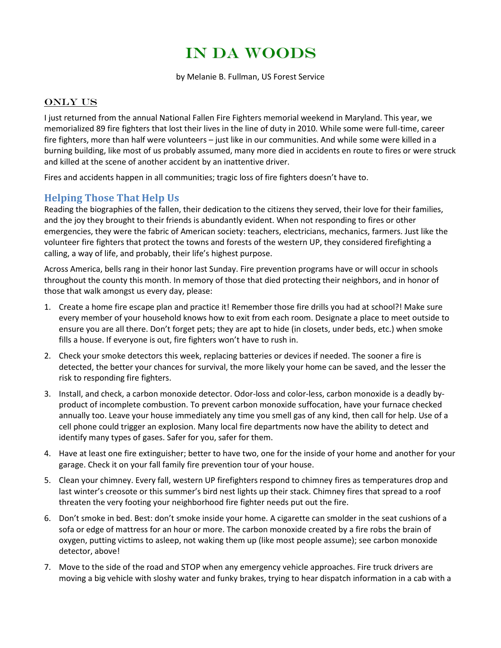## IN DA WOODS

by Melanie B. Fullman, US Forest Service

## ONLY US

I just returned from the annual National Fallen Fire Fighters memorial weekend in Maryland. This year, we memorialized 89 fire fighters that lost their lives in the line of duty in 2010. While some were full-time, career fire fighters, more than half were volunteers – just like in our communities. And while some were killed in a burning building, like most of us probably assumed, many more died in accidents en route to fires or were struck and killed at the scene of another accident by an inattentive driver.

Fires and accidents happen in all communities; tragic loss of fire fighters doesn't have to.

## **Helping Those That Help Us**

Reading the biographies of the fallen, their dedication to the citizens they served, their love for their families, and the joy they brought to their friends is abundantly evident. When not responding to fires or other emergencies, they were the fabric of American society: teachers, electricians, mechanics, farmers. Just like the volunteer fire fighters that protect the towns and forests of the western UP, they considered firefighting a calling, a way of life, and probably, their life's highest purpose.

Across America, bells rang in their honor last Sunday. Fire prevention programs have or will occur in schools throughout the county this month. In memory of those that died protecting their neighbors, and in honor of those that walk amongst us every day, please:

- 1. Create a home fire escape plan and practice it! Remember those fire drills you had at school?! Make sure every member of your household knows how to exit from each room. Designate a place to meet outside to ensure you are all there. Don't forget pets; they are apt to hide (in closets, under beds, etc.) when smoke fills a house. If everyone is out, fire fighters won't have to rush in.
- 2. Check your smoke detectors this week, replacing batteries or devices if needed. The sooner a fire is detected, the better your chances for survival, the more likely your home can be saved, and the lesser the risk to responding fire fighters.
- 3. Install, and check, a carbon monoxide detector. Odor-loss and color-less, carbon monoxide is a deadly byproduct of incomplete combustion. To prevent carbon monoxide suffocation, have your furnace checked annually too. Leave your house immediately any time you smell gas of any kind, then call for help. Use of a cell phone could trigger an explosion. Many local fire departments now have the ability to detect and identify many types of gases. Safer for you, safer for them.
- 4. Have at least one fire extinguisher; better to have two, one for the inside of your home and another for your garage. Check it on your fall family fire prevention tour of your house.
- 5. Clean your chimney. Every fall, western UP firefighters respond to chimney fires as temperatures drop and last winter's creosote or this summer's bird nest lights up their stack. Chimney fires that spread to a roof threaten the very footing your neighborhood fire fighter needs put out the fire.
- 6. Don't smoke in bed. Best: don't smoke inside your home. A cigarette can smolder in the seat cushions of a sofa or edge of mattress for an hour or more. The carbon monoxide created by a fire robs the brain of oxygen, putting victims to asleep, not waking them up (like most people assume); see carbon monoxide detector, above!
- 7. Move to the side of the road and STOP when any emergency vehicle approaches. Fire truck drivers are moving a big vehicle with sloshy water and funky brakes, trying to hear dispatch information in a cab with a